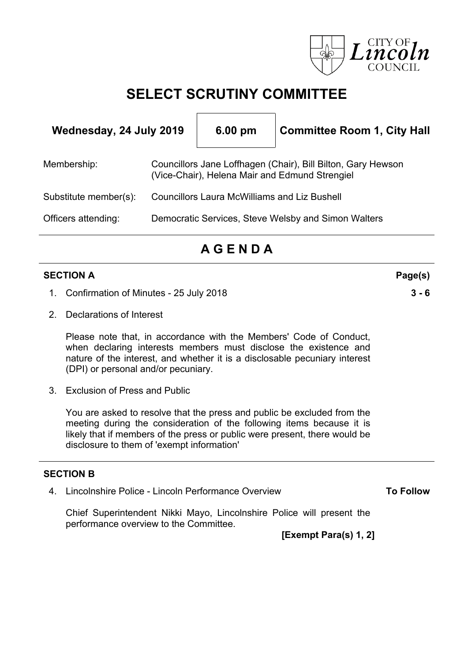

# **SELECT SCRUTINY COMMITTEE**

 $\Gamma$ 

| Wednesday, 24 July 2019 |                                                                                                                | 6.00 pm | <b>Committee Room 1, City Hall</b>                  |  |
|-------------------------|----------------------------------------------------------------------------------------------------------------|---------|-----------------------------------------------------|--|
| Membership:             | Councillors Jane Loffhagen (Chair), Bill Bilton, Gary Hewson<br>(Vice-Chair), Helena Mair and Edmund Strengiel |         |                                                     |  |
| Substitute member(s):   | <b>Councillors Laura McWilliams and Liz Bushell</b>                                                            |         |                                                     |  |
| Officers attending:     |                                                                                                                |         | Democratic Services, Steve Welsby and Simon Walters |  |
|                         |                                                                                                                |         |                                                     |  |

# **A G E N D A**

#### **SECTION A Page(s)**

- 1. Confirmation of Minutes 25 July 2018 **3 - 6**
- 2. Declarations of Interest

Please note that, in accordance with the Members' Code of Conduct, when declaring interests members must disclose the existence and nature of the interest, and whether it is a disclosable pecuniary interest (DPI) or personal and/or pecuniary.

3. Exclusion of Press and Public

You are asked to resolve that the press and public be excluded from the meeting during the consideration of the following items because it is likely that if members of the press or public were present, there would be disclosure to them of 'exempt information'

### **SECTION B**

4. Lincolnshire Police - Lincoln Performance Overview

**To Follow**

Chief Superintendent Nikki Mayo, Lincolnshire Police will present the performance overview to the Committee.

**[Exempt Para(s) 1, 2]**